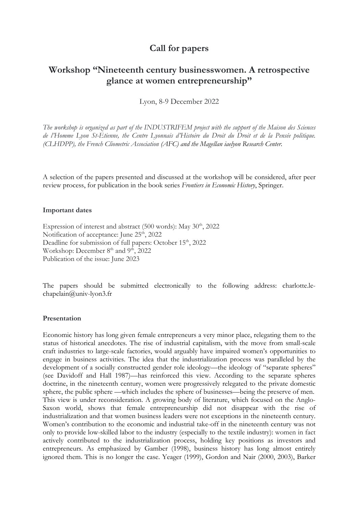## **Call for papers**

# **Workshop "Nineteenth century businesswomen. A retrospective glance at women entrepreneurship"**

Lyon, 8-9 December 2022

*The workshop is organized as part of the INDUSTRIFEM project with the support of the Maison des Sciences de l'Homme Lyon St-Etienne, the Centre Lyonnais d'Histoire du Droit du Droit et de la Pensée politique. (CLHDPP), the French Cliometric Association (AFC) and the Magellan iaelyon Research Center.*

A selection of the papers presented and discussed at the workshop will be considered, after peer review process, for publication in the book series *Frontiers in Economic History*, Springer.

#### **Important dates**

Expression of interest and abstract  $(500 \text{ words})$ : May  $30^{\text{th}}$ , 2022 Notification of acceptance: June 25<sup>th</sup>, 2022 Deadline for submission of full papers: October 15<sup>th</sup>, 2022 Workshop: December 8<sup>th</sup> and 9<sup>th</sup>, 2022 Publication of the issue: June 2023

The papers should be submitted electronically to the following address: charlotte.lechapelain@univ-lyon3.fr

#### **Presentation**

Economic history has long given female entrepreneurs a very minor place, relegating them to the status of historical anecdotes. The rise of industrial capitalism, with the move from small-scale craft industries to large-scale factories, would arguably have impaired women's opportunities to engage in business activities. The idea that the industrialization process was paralleled by the development of a socially constructed gender role ideology—the ideology of "separate spheres" (see Davidoff and Hall 1987)—has reinforced this view. According to the separate spheres doctrine, in the nineteenth century, women were progressively relegated to the private domestic sphere, the public sphere —which includes the sphere of businesses—being the preserve of men. This view is under reconsideration. A growing body of literature, which focused on the Anglo-Saxon world, shows that female entrepreneurship did not disappear with the rise of industrialization and that women business leaders were not exceptions in the nineteenth century. Women's contribution to the economic and industrial take-off in the nineteenth century was not only to provide low-skilled labor to the industry (especially to the textile industry): women in fact actively contributed to the industrialization process, holding key positions as investors and entrepreneurs. As emphasized by Gamber (1998), business history has long almost entirely ignored them. This is no longer the case. Yeager (1999), Gordon and Nair (2000, 2003), Barker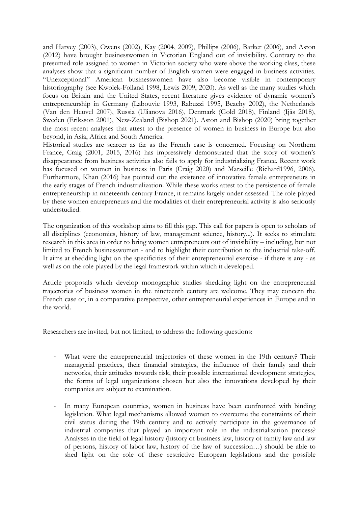and Harvey (2003), Owens (2002), Kay (2004, 2009), Phillips (2006), Barker (2006), and Aston (2012) have brought businesswomen in Victorian England out of invisibility. Contrary to the presumed role assigned to women in Victorian society who were above the working class, these analyses show that a significant number of English women were engaged in business activities. "Unexceptional" American businesswomen have also become visible in contemporary historiography (see Kwolek-Folland 1998, Lewis 2009, 2020). As well as the many studies which focus on Britain and the United States, recent literature gives evidence of dynamic women's entrepreneurship in Germany (Labouvie 1993, Rabuzzi 1995, Beachy 2002), the Netherlands (Van den Heuvel 2007), Russia (Ulianova 2016), Denmark (Gold 2018), Finland (Ijäs 2018), Sweden (Eriksson 2001), New-Zealand (Bishop 2021). Aston and Bishop (2020) bring together the most recent analyses that attest to the presence of women in business in Europe but also beyond, in Asia, Africa and South America.

Historical studies are scarcer as far as the French case is concerned. Focusing on Northern France, Craig (2001, 2015, 2016) has impressively demonstrated that the story of women's disappearance from business activities also fails to apply for industrializing France. Recent work has focused on women in business in Paris (Craig 2020) and Marseille (Richard1996, 2006). Furthermore, Khan (2016) has pointed out the existence of innovative female entrepreneurs in the early stages of French industrialization. While these works attest to the persistence of female entrepreneurship in nineteenth-century France, it remains largely under-assessed. The role played by these women entrepreneurs and the modalities of their entrepreneurial activity is also seriously understudied.

The organization of this workshop aims to fill this gap. This call for papers is open to scholars of all disciplines (economics, history of law, management science, history...). It seeks to stimulate research in this area in order to bring women entrepreneurs out of invisibility – including, but not limited to French businesswomen - and to highlight their contribution to the industrial take-off. It aims at shedding light on the specificities of their entrepreneurial exercise - if there is any - as well as on the role played by the legal framework within which it developed.

Article proposals which develop monographic studies shedding light on the entrepreneurial trajectories of business women in the nineteenth century are welcome. They may concern the French case or, in a comparative perspective, other entrepreneurial experiences in Europe and in the world.

Researchers are invited, but not limited, to address the following questions:

- What were the entrepreneurial trajectories of these women in the 19th century? Their managerial practices, their financial strategies, the influence of their family and their networks, their attitudes towards risk, their possible international development strategies, the forms of legal organizations chosen but also the innovations developed by their companies are subject to examination.
- In many European countries, women in business have been confronted with binding legislation. What legal mechanisms allowed women to overcome the constraints of their civil status during the 19th century and to actively participate in the governance of industrial companies that played an important role in the industrialization process? Analyses in the field of legal history (history of business law, history of family law and law of persons, history of labor law, history of the law of succession…) should be able to shed light on the role of these restrictive European legislations and the possible